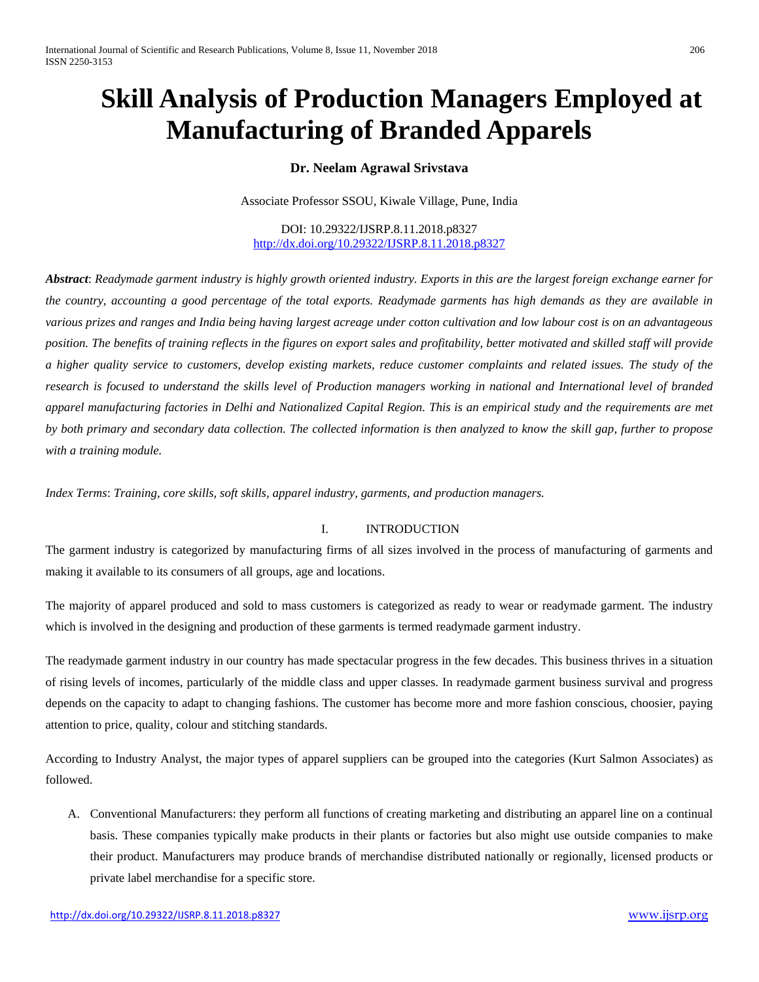# **Skill Analysis of Production Managers Employed at Manufacturing of Branded Apparels**

## **Dr. Neelam Agrawal Srivstava**

Associate Professor SSOU, Kiwale Village, Pune, India

DOI: 10.29322/IJSRP.8.11.2018.p8327 <http://dx.doi.org/10.29322/IJSRP.8.11.2018.p8327>

*Abstract*: *Readymade garment industry is highly growth oriented industry. Exports in this are the largest foreign exchange earner for the country, accounting a good percentage of the total exports. Readymade garments has high demands as they are available in various prizes and ranges and India being having largest acreage under cotton cultivation and low labour cost is on an advantageous position. The benefits of training reflects in the figures on export sales and profitability, better motivated and skilled staff will provide a higher quality service to customers, develop existing markets, reduce customer complaints and related issues. The study of the*  research is focused to understand the skills level of Production managers working in national and International level of branded *apparel manufacturing factories in Delhi and Nationalized Capital Region. This is an empirical study and the requirements are met by both primary and secondary data collection. The collected information is then analyzed to know the skill gap, further to propose with a training module.*

*Index Terms*: *Training, core skills, soft skills, apparel industry, garments, and production managers.* 

## I. INTRODUCTION

The garment industry is categorized by manufacturing firms of all sizes involved in the process of manufacturing of garments and making it available to its consumers of all groups, age and locations.

The majority of apparel produced and sold to mass customers is categorized as ready to wear or readymade garment. The industry which is involved in the designing and production of these garments is termed readymade garment industry.

The readymade garment industry in our country has made spectacular progress in the few decades. This business thrives in a situation of rising levels of incomes, particularly of the middle class and upper classes. In readymade garment business survival and progress depends on the capacity to adapt to changing fashions. The customer has become more and more fashion conscious, choosier, paying attention to price, quality, colour and stitching standards.

According to Industry Analyst, the major types of apparel suppliers can be grouped into the categories (Kurt Salmon Associates) as followed.

A. Conventional Manufacturers: they perform all functions of creating marketing and distributing an apparel line on a continual basis. These companies typically make products in their plants or factories but also might use outside companies to make their product. Manufacturers may produce brands of merchandise distributed nationally or regionally, licensed products or private label merchandise for a specific store.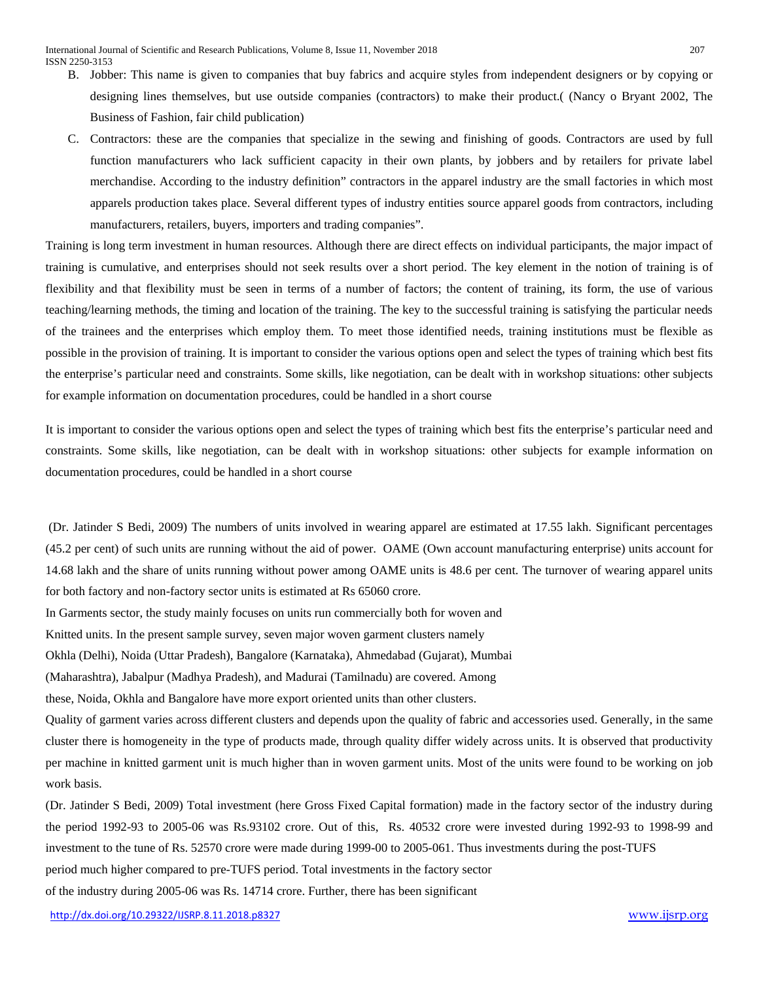- B. Jobber: This name is given to companies that buy fabrics and acquire styles from independent designers or by copying or designing lines themselves, but use outside companies (contractors) to make their product.( (Nancy o Bryant 2002, The Business of Fashion, fair child publication)
- C. Contractors: these are the companies that specialize in the sewing and finishing of goods. Contractors are used by full function manufacturers who lack sufficient capacity in their own plants, by jobbers and by retailers for private label merchandise. According to the industry definition" contractors in the apparel industry are the small factories in which most apparels production takes place. Several different types of industry entities source apparel goods from contractors, including manufacturers, retailers, buyers, importers and trading companies".

Training is long term investment in human resources. Although there are direct effects on individual participants, the major impact of training is cumulative, and enterprises should not seek results over a short period. The key element in the notion of training is of flexibility and that flexibility must be seen in terms of a number of factors; the content of training, its form, the use of various teaching/learning methods, the timing and location of the training. The key to the successful training is satisfying the particular needs of the trainees and the enterprises which employ them. To meet those identified needs, training institutions must be flexible as possible in the provision of training. It is important to consider the various options open and select the types of training which best fits the enterprise's particular need and constraints. Some skills, like negotiation, can be dealt with in workshop situations: other subjects for example information on documentation procedures, could be handled in a short course

It is important to consider the various options open and select the types of training which best fits the enterprise's particular need and constraints. Some skills, like negotiation, can be dealt with in workshop situations: other subjects for example information on documentation procedures, could be handled in a short course

(Dr. Jatinder S Bedi, 2009) The numbers of units involved in wearing apparel are estimated at 17.55 lakh. Significant percentages (45.2 per cent) of such units are running without the aid of power. OAME (Own account manufacturing enterprise) units account for 14.68 lakh and the share of units running without power among OAME units is 48.6 per cent. The turnover of wearing apparel units for both factory and non-factory sector units is estimated at Rs 65060 crore.

In Garments sector, the study mainly focuses on units run commercially both for woven and

Knitted units. In the present sample survey, seven major woven garment clusters namely

Okhla (Delhi), Noida (Uttar Pradesh), Bangalore (Karnataka), Ahmedabad (Gujarat), Mumbai

(Maharashtra), Jabalpur (Madhya Pradesh), and Madurai (Tamilnadu) are covered. Among

these, Noida, Okhla and Bangalore have more export oriented units than other clusters.

Quality of garment varies across different clusters and depends upon the quality of fabric and accessories used. Generally, in the same cluster there is homogeneity in the type of products made, through quality differ widely across units. It is observed that productivity per machine in knitted garment unit is much higher than in woven garment units. Most of the units were found to be working on job work basis.

(Dr. Jatinder S Bedi, 2009) Total investment (here Gross Fixed Capital formation) made in the factory sector of the industry during the period 1992-93 to 2005-06 was Rs.93102 crore. Out of this, Rs. 40532 crore were invested during 1992-93 to 1998-99 and investment to the tune of Rs. 52570 crore were made during 1999-00 to 2005-061. Thus investments during the post-TUFS period much higher compared to pre-TUFS period. Total investments in the factory sector

of the industry during 2005-06 was Rs. 14714 crore. Further, there has been significant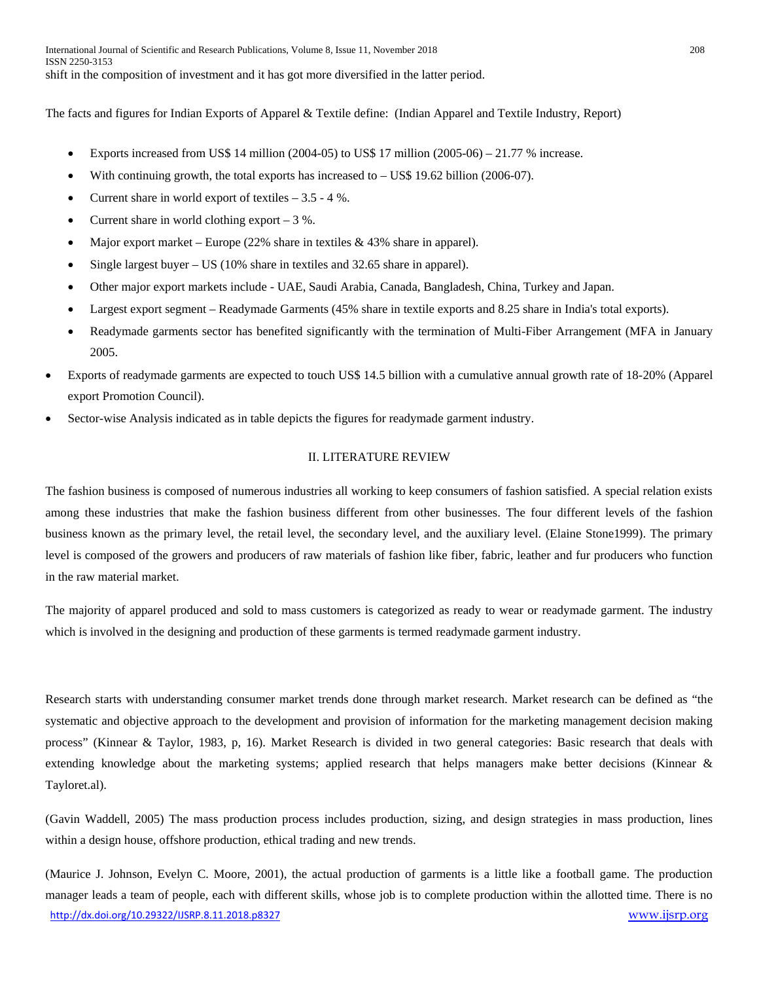The facts and figures for Indian Exports of Apparel & Textile define: (Indian Apparel and Textile Industry, Report)

- Exports increased from US\$ 14 million  $(2004-05)$  to US\$ 17 million  $(2005-06) 21.77$  % increase.
- With continuing growth, the total exports has increased to  $-$  US\$ 19.62 billion (2006-07).
- Current share in world export of textiles  $-3.5 4$ %.
- Current share in world clothing export  $-3$  %.
- Major export market Europe (22% share in textiles & 43% share in apparel).
- Single largest buyer US (10% share in textiles and 32.65 share in apparel).
- Other major export markets include UAE, Saudi Arabia, Canada, Bangladesh, China, Turkey and Japan.
- Largest export segment Readymade Garments (45% share in textile exports and 8.25 share in India's total exports).
- Readymade garments sector has benefited significantly with the termination of Multi-Fiber Arrangement (MFA in January 2005.
- Exports of readymade garments are expected to touch US\$ 14.5 billion with a cumulative annual growth rate of 18-20% (Apparel export Promotion Council).
- Sector-wise Analysis indicated as in table depicts the figures for readymade garment industry.

## II. LITERATURE REVIEW

The fashion business is composed of numerous industries all working to keep consumers of fashion satisfied. A special relation exists among these industries that make the fashion business different from other businesses. The four different levels of the fashion business known as the primary level, the retail level, the secondary level, and the auxiliary level. (Elaine Stone1999). The primary level is composed of the growers and producers of raw materials of fashion like fiber, fabric, leather and fur producers who function in the raw material market.

The majority of apparel produced and sold to mass customers is categorized as ready to wear or readymade garment. The industry which is involved in the designing and production of these garments is termed readymade garment industry.

Research starts with understanding consumer market trends done through market research. Market research can be defined as "the systematic and objective approach to the development and provision of information for the marketing management decision making process" (Kinnear & Taylor, 1983, p, 16). Market Research is divided in two general categories: Basic research that deals with extending knowledge about the marketing systems; applied research that helps managers make better decisions (Kinnear & Tayloret.al).

(Gavin Waddell, 2005) The mass production process includes production, sizing, and design strategies in mass production, lines within a design house, offshore production, ethical trading and new trends.

<http://dx.doi.org/10.29322/IJSRP.8.11.2018.p8327> [www.ijsrp.org](http://ijsrp.org/) (Maurice J. Johnson, Evelyn C. Moore, 2001), the actual production of garments is a little like a football game. The production manager leads a team of people, each with different skills, whose job is to complete production within the allotted time. There is no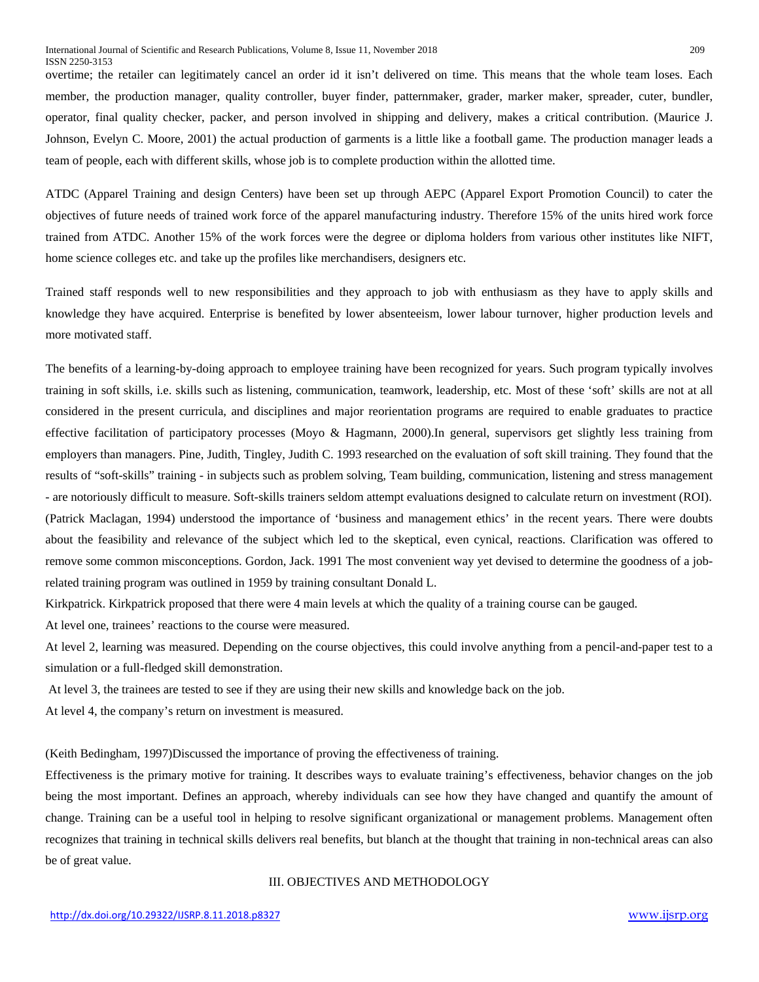overtime; the retailer can legitimately cancel an order id it isn't delivered on time. This means that the whole team loses. Each member, the production manager, quality controller, buyer finder, patternmaker, grader, marker maker, spreader, cuter, bundler, operator, final quality checker, packer, and person involved in shipping and delivery, makes a critical contribution. (Maurice J. Johnson, Evelyn C. Moore, 2001) the actual production of garments is a little like a football game. The production manager leads a team of people, each with different skills, whose job is to complete production within the allotted time.

ATDC (Apparel Training and design Centers) have been set up through AEPC (Apparel Export Promotion Council) to cater the objectives of future needs of trained work force of the apparel manufacturing industry. Therefore 15% of the units hired work force trained from ATDC. Another 15% of the work forces were the degree or diploma holders from various other institutes like NIFT, home science colleges etc. and take up the profiles like merchandisers, designers etc.

Trained staff responds well to new responsibilities and they approach to job with enthusiasm as they have to apply skills and knowledge they have acquired. Enterprise is benefited by lower absenteeism, lower labour turnover, higher production levels and more motivated staff.

The benefits of a learning-by-doing approach to employee training have been recognized for years. Such program typically involves training in soft skills, i.e. skills such as listening, communication, teamwork, leadership, etc. Most of these 'soft' skills are not at all considered in the present curricula, and disciplines and major reorientation programs are required to enable graduates to practice effective facilitation of participatory processes (Moyo & Hagmann, 2000).In general, supervisors get slightly less training from employers than managers. Pine, Judith, Tingley, Judith C. 1993 researched on the evaluation of soft skill training. They found that the results of "soft-skills" training - in subjects such as problem solving, Team building, communication, listening and stress management - are notoriously difficult to measure. Soft-skills trainers seldom attempt evaluations designed to calculate return on investment (ROI). (Patrick Maclagan, 1994) understood the importance of 'business and management ethics' in the recent years. There were doubts about the feasibility and relevance of the subject which led to the skeptical, even cynical, reactions. Clarification was offered to remove some common misconceptions. Gordon, Jack. 1991 The most convenient way yet devised to determine the goodness of a jobrelated training program was outlined in 1959 by training consultant Donald L.

Kirkpatrick. Kirkpatrick proposed that there were 4 main levels at which the quality of a training course can be gauged.

At level one, trainees' reactions to the course were measured.

At level 2, learning was measured. Depending on the course objectives, this could involve anything from a pencil-and-paper test to a simulation or a full-fledged skill demonstration.

At level 3, the trainees are tested to see if they are using their new skills and knowledge back on the job.

At level 4, the company's return on investment is measured.

(Keith Bedingham, 1997)Discussed the importance of proving the effectiveness of training.

Effectiveness is the primary motive for training. It describes ways to evaluate training's effectiveness, behavior changes on the job being the most important. Defines an approach, whereby individuals can see how they have changed and quantify the amount of change. Training can be a useful tool in helping to resolve significant organizational or management problems. Management often recognizes that training in technical skills delivers real benefits, but blanch at the thought that training in non-technical areas can also be of great value.

#### III. OBJECTIVES AND METHODOLOGY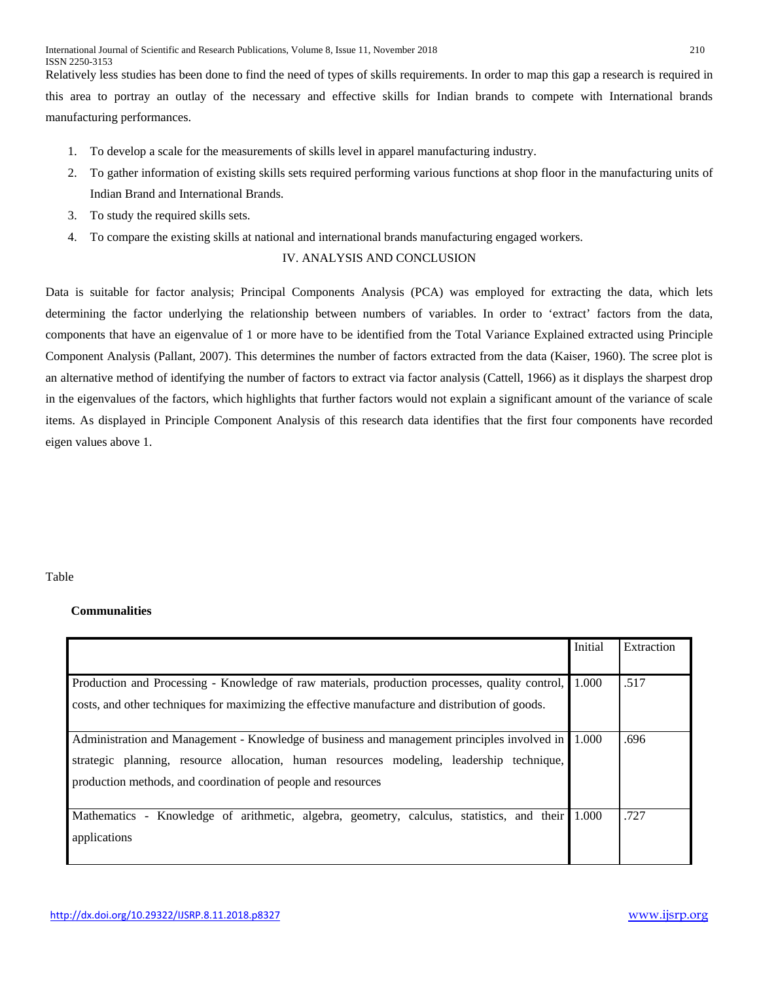Relatively less studies has been done to find the need of types of skills requirements. In order to map this gap a research is required in this area to portray an outlay of the necessary and effective skills for Indian brands to compete with International brands manufacturing performances.

- 1. To develop a scale for the measurements of skills level in apparel manufacturing industry.
- 2. To gather information of existing skills sets required performing various functions at shop floor in the manufacturing units of Indian Brand and International Brands.
- 3. To study the required skills sets.
- 4. To compare the existing skills at national and international brands manufacturing engaged workers.

## IV. ANALYSIS AND CONCLUSION

Data is suitable for factor analysis; Principal Components Analysis (PCA) was employed for extracting the data, which lets determining the factor underlying the relationship between numbers of variables. In order to 'extract' factors from the data, components that have an eigenvalue of 1 or more have to be identified from the Total Variance Explained extracted using Principle Component Analysis (Pallant, 2007). This determines the number of factors extracted from the data (Kaiser, 1960). The scree plot is an alternative method of identifying the number of factors to extract via factor analysis (Cattell, 1966) as it displays the sharpest drop in the eigenvalues of the factors, which highlights that further factors would not explain a significant amount of the variance of scale items. As displayed in Principle Component Analysis of this research data identifies that the first four components have recorded eigen values above 1.

## Table

## **Communalities**

|                                                                                                 | Initial | Extraction |
|-------------------------------------------------------------------------------------------------|---------|------------|
|                                                                                                 |         |            |
| Production and Processing - Knowledge of raw materials, production processes, quality control,  | 1.000   | .517       |
| costs, and other techniques for maximizing the effective manufacture and distribution of goods. |         |            |
|                                                                                                 |         |            |
| Administration and Management - Knowledge of business and management principles involved in     | 1.000   | .696       |
| strategic planning, resource allocation, human resources modeling, leadership technique,        |         |            |
| production methods, and coordination of people and resources                                    |         |            |
|                                                                                                 |         |            |
| Mathematics - Knowledge of arithmetic, algebra, geometry, calculus, statistics, and their       | 1.000   | .727       |
| applications                                                                                    |         |            |
|                                                                                                 |         |            |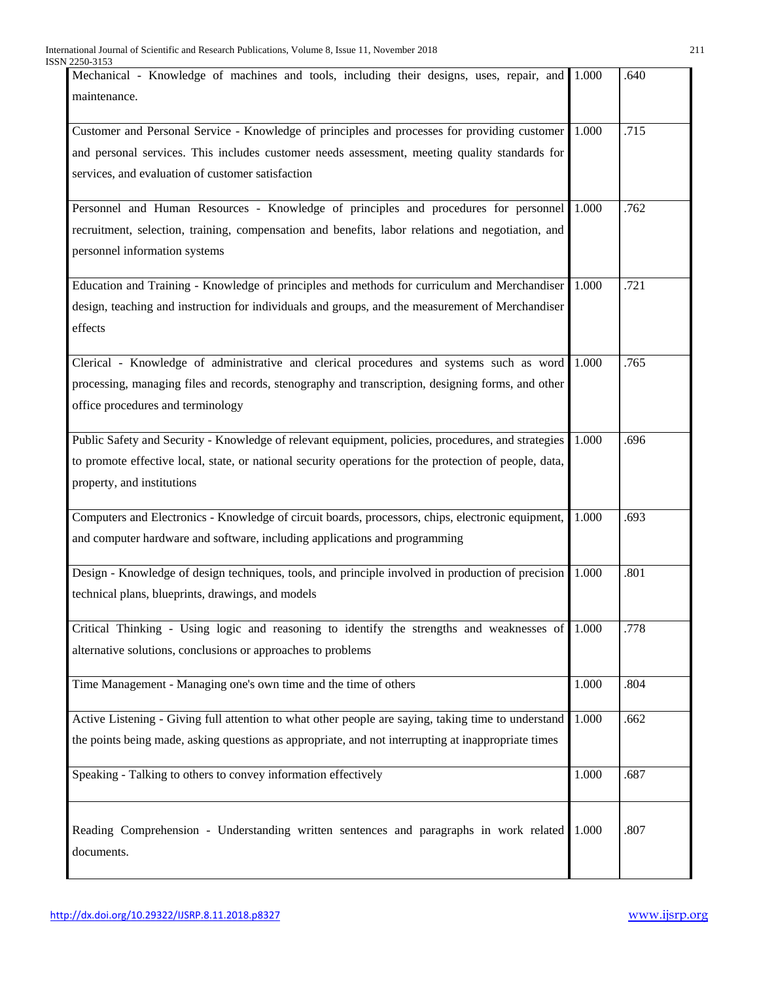| Mechanical - Knowledge of machines and tools, including their designs, uses, repair, and               | 1.000 | .640 |
|--------------------------------------------------------------------------------------------------------|-------|------|
| maintenance.                                                                                           |       |      |
|                                                                                                        |       |      |
| Customer and Personal Service - Knowledge of principles and processes for providing customer           | 1.000 | .715 |
| and personal services. This includes customer needs assessment, meeting quality standards for          |       |      |
| services, and evaluation of customer satisfaction                                                      |       |      |
| Personnel and Human Resources - Knowledge of principles and procedures for personnel                   | 1.000 | .762 |
| recruitment, selection, training, compensation and benefits, labor relations and negotiation, and      |       |      |
| personnel information systems                                                                          |       |      |
|                                                                                                        |       |      |
| Education and Training - Knowledge of principles and methods for curriculum and Merchandiser           | 1.000 | .721 |
| design, teaching and instruction for individuals and groups, and the measurement of Merchandiser       |       |      |
| effects                                                                                                |       |      |
|                                                                                                        |       |      |
| Clerical - Knowledge of administrative and clerical procedures and systems such as word                | 1.000 | .765 |
| processing, managing files and records, stenography and transcription, designing forms, and other      |       |      |
| office procedures and terminology                                                                      |       |      |
|                                                                                                        |       |      |
| Public Safety and Security - Knowledge of relevant equipment, policies, procedures, and strategies     | 1.000 | .696 |
| to promote effective local, state, or national security operations for the protection of people, data, |       |      |
| property, and institutions                                                                             |       |      |
|                                                                                                        |       |      |
| Computers and Electronics - Knowledge of circuit boards, processors, chips, electronic equipment,      | 1.000 | .693 |
| and computer hardware and software, including applications and programming                             |       |      |
|                                                                                                        |       |      |
| Design - Knowledge of design techniques, tools, and principle involved in production of precision      | 1.000 | .801 |
| technical plans, blueprints, drawings, and models                                                      |       |      |
|                                                                                                        |       |      |
| Critical Thinking - Using logic and reasoning to identify the strengths and weaknesses of 1.000        |       | .778 |
| alternative solutions, conclusions or approaches to problems                                           |       |      |
|                                                                                                        |       |      |
| Time Management - Managing one's own time and the time of others                                       | 1.000 | .804 |
| Active Listening - Giving full attention to what other people are saying, taking time to understand    | 1.000 | .662 |
| the points being made, asking questions as appropriate, and not interrupting at inappropriate times    |       |      |
|                                                                                                        |       |      |
| Speaking - Talking to others to convey information effectively                                         | 1.000 | .687 |
|                                                                                                        |       |      |
|                                                                                                        |       |      |
| Reading Comprehension - Understanding written sentences and paragraphs in work related                 | 1.000 | .807 |
| documents.                                                                                             |       |      |
|                                                                                                        |       |      |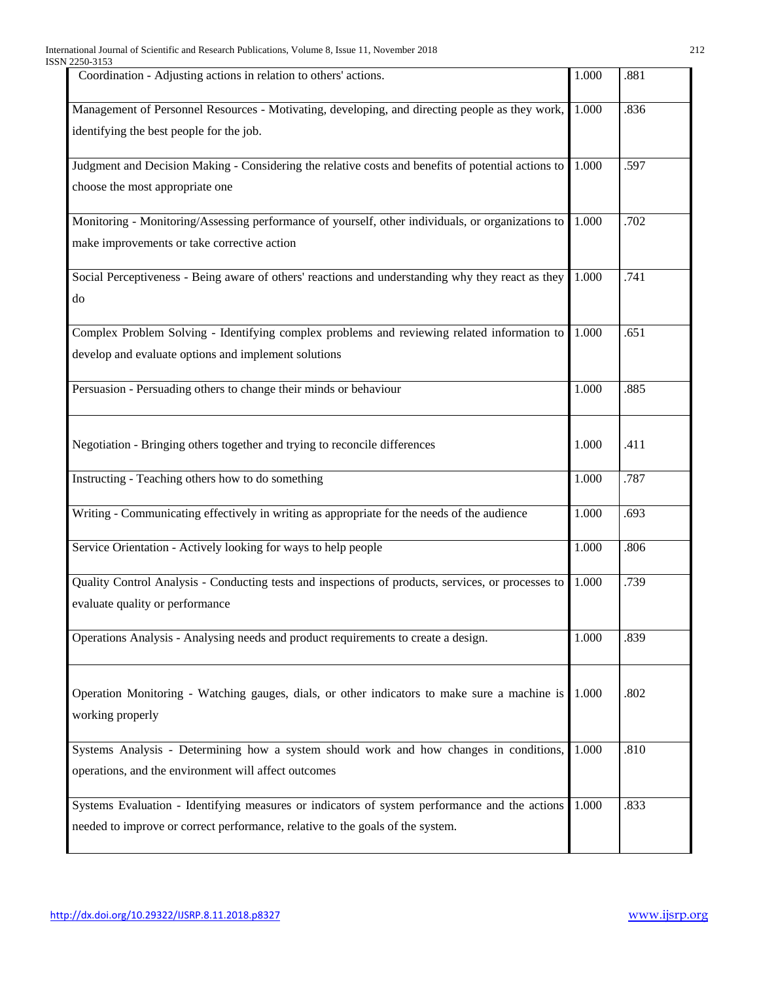| Coordination - Adjusting actions in relation to others' actions.                                                                                                                | 1.000 | .881 |
|---------------------------------------------------------------------------------------------------------------------------------------------------------------------------------|-------|------|
| Management of Personnel Resources - Motivating, developing, and directing people as they work,<br>identifying the best people for the job.                                      | 1.000 | .836 |
| Judgment and Decision Making - Considering the relative costs and benefits of potential actions to<br>choose the most appropriate one                                           | 1.000 | .597 |
| Monitoring - Monitoring/Assessing performance of yourself, other individuals, or organizations to<br>make improvements or take corrective action                                | 1.000 | .702 |
| Social Perceptiveness - Being aware of others' reactions and understanding why they react as they<br>do                                                                         | 1.000 | .741 |
| Complex Problem Solving - Identifying complex problems and reviewing related information to<br>develop and evaluate options and implement solutions                             | 1.000 | .651 |
| Persuasion - Persuading others to change their minds or behaviour                                                                                                               | 1.000 | .885 |
| Negotiation - Bringing others together and trying to reconcile differences                                                                                                      | 1.000 | .411 |
| Instructing - Teaching others how to do something                                                                                                                               | 1.000 | .787 |
| Writing - Communicating effectively in writing as appropriate for the needs of the audience                                                                                     | 1.000 | .693 |
| Service Orientation - Actively looking for ways to help people                                                                                                                  | 1.000 | .806 |
| Quality Control Analysis - Conducting tests and inspections of products, services, or processes to<br>evaluate quality or performance                                           | 1.000 | .739 |
| Operations Analysis - Analysing needs and product requirements to create a design.                                                                                              | 1.000 | .839 |
| Operation Monitoring - Watching gauges, dials, or other indicators to make sure a machine is<br>working properly                                                                | 1.000 | .802 |
| Systems Analysis - Determining how a system should work and how changes in conditions,<br>operations, and the environment will affect outcomes                                  | 1.000 | .810 |
| Systems Evaluation - Identifying measures or indicators of system performance and the actions<br>needed to improve or correct performance, relative to the goals of the system. | 1.000 | .833 |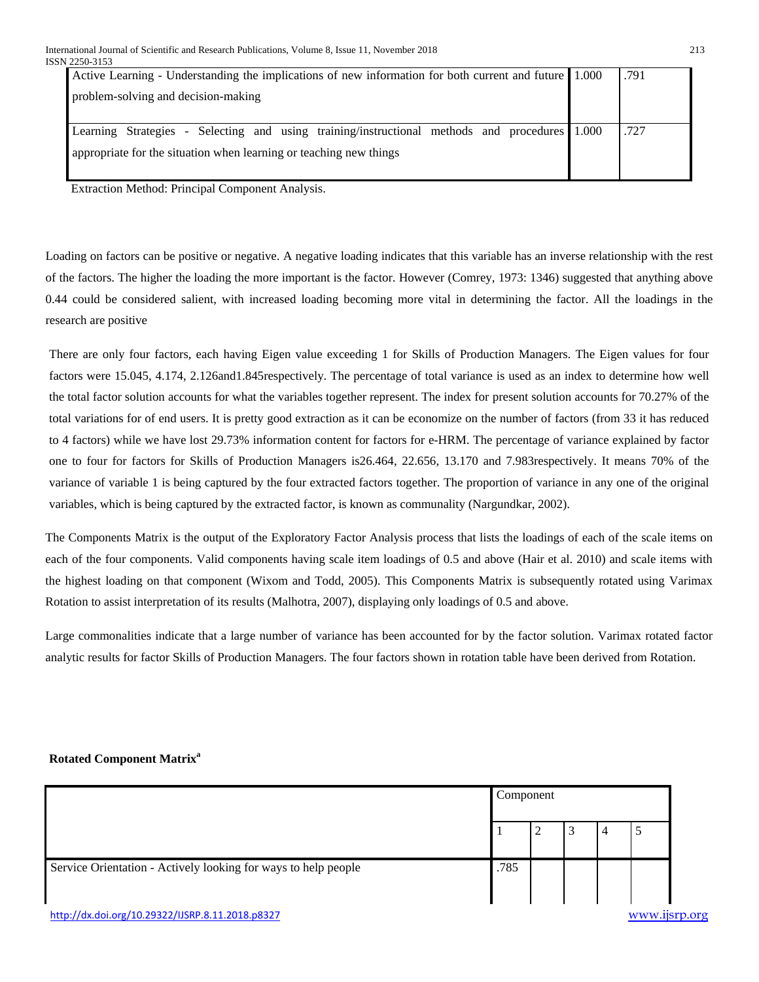| Active Learning - Understanding the implications of new information for both current and future 1.000 | .791 |
|-------------------------------------------------------------------------------------------------------|------|
| problem-solving and decision-making                                                                   |      |
|                                                                                                       |      |
| Learning Strategies - Selecting and using training/instructional methods and procedures 1.000         | .727 |
| appropriate for the situation when learning or teaching new things                                    |      |
|                                                                                                       |      |

Extraction Method: Principal Component Analysis.

Loading on factors can be positive or negative. A negative loading indicates that this variable has an inverse relationship with the rest of the factors. The higher the loading the more important is the factor. However (Comrey, 1973: 1346) suggested that anything above 0.44 could be considered salient, with increased loading becoming more vital in determining the factor. All the loadings in the research are positive

There are only four factors, each having Eigen value exceeding 1 for Skills of Production Managers. The Eigen values for four factors were 15.045, 4.174, 2.126and1.845respectively. The percentage of total variance is used as an index to determine how well the total factor solution accounts for what the variables together represent. The index for present solution accounts for 70.27% of the total variations for of end users. It is pretty good extraction as it can be economize on the number of factors (from 33 it has reduced to 4 factors) while we have lost 29.73% information content for factors for e-HRM. The percentage of variance explained by factor one to four for factors for Skills of Production Managers is26.464, 22.656, 13.170 and 7.983respectively. It means 70% of the variance of variable 1 is being captured by the four extracted factors together. The proportion of variance in any one of the original variables, which is being captured by the extracted factor, is known as communality (Nargundkar, 2002).

The Components Matrix is the output of the Exploratory Factor Analysis process that lists the loadings of each of the scale items on each of the four components. Valid components having scale item loadings of 0.5 and above (Hair et al. 2010) and scale items with the highest loading on that component (Wixom and Todd, 2005). This Components Matrix is subsequently rotated using Varimax Rotation to assist interpretation of its results (Malhotra, 2007), displaying only loadings of 0.5 and above.

Large commonalities indicate that a large number of variance has been accounted for by the factor solution. Varimax rotated factor analytic results for factor Skills of Production Managers. The four factors shown in rotation table have been derived from Rotation.

## **Rotated Component Matrix<sup>a</sup>**

|                                                                | Component |        |   |   |  |
|----------------------------------------------------------------|-----------|--------|---|---|--|
|                                                                |           | ◠<br>÷ | 3 | 4 |  |
| Service Orientation - Actively looking for ways to help people | .785      |        |   |   |  |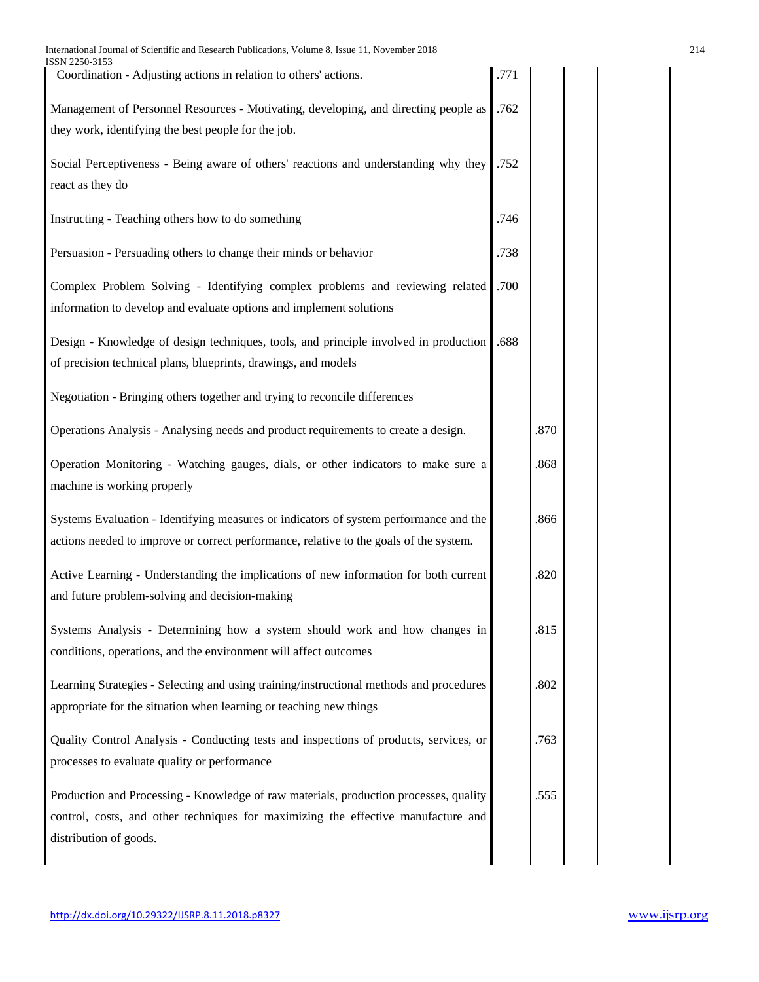| International Journal of Scientific and Research Publications, Volume 8, Issue 11, November 2018<br>ISSN 2250-3153                                                         |      |      | 214 |
|----------------------------------------------------------------------------------------------------------------------------------------------------------------------------|------|------|-----|
| Coordination - Adjusting actions in relation to others' actions.                                                                                                           | .771 |      |     |
| Management of Personnel Resources - Motivating, developing, and directing people as                                                                                        | .762 |      |     |
| they work, identifying the best people for the job.                                                                                                                        |      |      |     |
| Social Perceptiveness - Being aware of others' reactions and understanding why they                                                                                        | .752 |      |     |
| react as they do                                                                                                                                                           |      |      |     |
| Instructing - Teaching others how to do something                                                                                                                          | .746 |      |     |
| Persuasion - Persuading others to change their minds or behavior                                                                                                           | .738 |      |     |
| Complex Problem Solving - Identifying complex problems and reviewing related                                                                                               | .700 |      |     |
| information to develop and evaluate options and implement solutions                                                                                                        |      |      |     |
| Design - Knowledge of design techniques, tools, and principle involved in production                                                                                       | .688 |      |     |
| of precision technical plans, blueprints, drawings, and models                                                                                                             |      |      |     |
| Negotiation - Bringing others together and trying to reconcile differences                                                                                                 |      |      |     |
| Operations Analysis - Analysing needs and product requirements to create a design.                                                                                         |      | .870 |     |
| Operation Monitoring - Watching gauges, dials, or other indicators to make sure a                                                                                          |      | .868 |     |
| machine is working properly                                                                                                                                                |      |      |     |
| Systems Evaluation - Identifying measures or indicators of system performance and the                                                                                      |      | .866 |     |
| actions needed to improve or correct performance, relative to the goals of the system.                                                                                     |      |      |     |
| Active Learning - Understanding the implications of new information for both current                                                                                       |      | .820 |     |
| and future problem-solving and decision-making                                                                                                                             |      |      |     |
| Systems Analysis - Determining how a system should work and how changes in                                                                                                 |      | .815 |     |
| conditions, operations, and the environment will affect outcomes                                                                                                           |      |      |     |
| Learning Strategies - Selecting and using training/instructional methods and procedures<br>appropriate for the situation when learning or teaching new things              |      | .802 |     |
|                                                                                                                                                                            |      |      |     |
| Quality Control Analysis - Conducting tests and inspections of products, services, or<br>processes to evaluate quality or performance                                      |      | .763 |     |
|                                                                                                                                                                            |      |      |     |
| Production and Processing - Knowledge of raw materials, production processes, quality<br>control, costs, and other techniques for maximizing the effective manufacture and |      | .555 |     |
| distribution of goods.                                                                                                                                                     |      |      |     |
|                                                                                                                                                                            |      |      |     |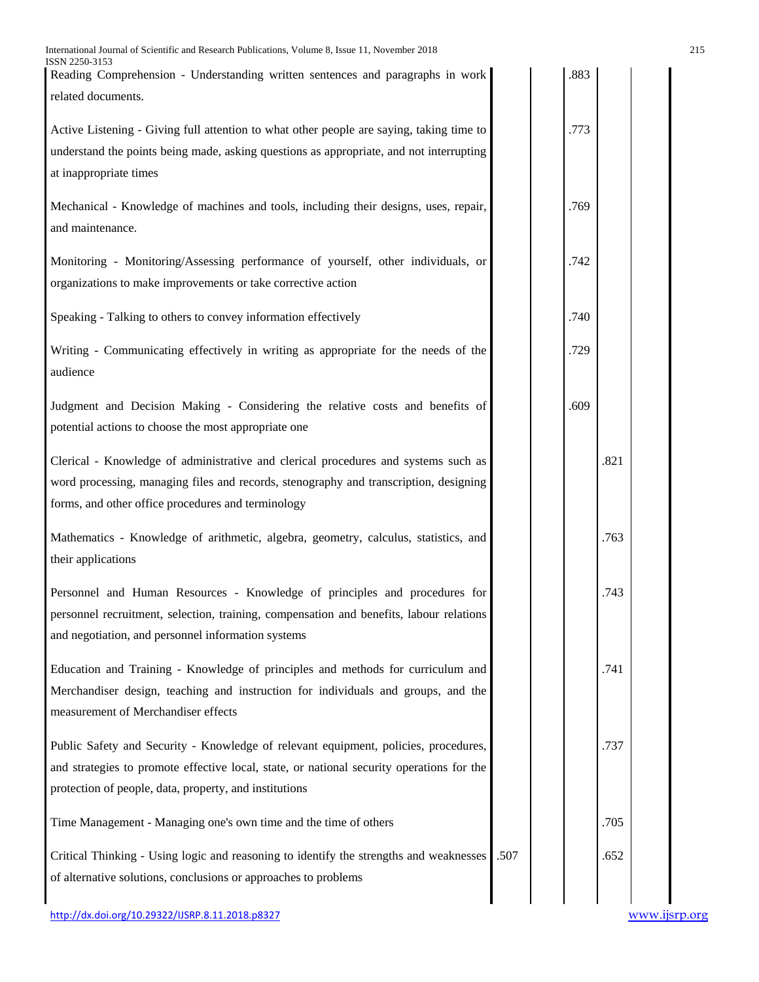| International Journal of Scientific and Research Publications, Volume 8, Issue 11, November 2018<br>ISSN 2250-3153<br>Reading Comprehension - Understanding written sentences and paragraphs in work                                       |      | .883 |      | 215 |
|--------------------------------------------------------------------------------------------------------------------------------------------------------------------------------------------------------------------------------------------|------|------|------|-----|
| related documents.                                                                                                                                                                                                                         |      |      |      |     |
| Active Listening - Giving full attention to what other people are saying, taking time to<br>understand the points being made, asking questions as appropriate, and not interrupting<br>at inappropriate times                              |      | .773 |      |     |
| Mechanical - Knowledge of machines and tools, including their designs, uses, repair,<br>and maintenance.                                                                                                                                   |      | .769 |      |     |
| Monitoring - Monitoring/Assessing performance of yourself, other individuals, or<br>organizations to make improvements or take corrective action                                                                                           |      | .742 |      |     |
| Speaking - Talking to others to convey information effectively                                                                                                                                                                             |      | .740 |      |     |
| Writing - Communicating effectively in writing as appropriate for the needs of the<br>audience                                                                                                                                             |      | .729 |      |     |
| Judgment and Decision Making - Considering the relative costs and benefits of<br>potential actions to choose the most appropriate one                                                                                                      |      | .609 |      |     |
| Clerical - Knowledge of administrative and clerical procedures and systems such as<br>word processing, managing files and records, stenography and transcription, designing<br>forms, and other office procedures and terminology          |      |      | .821 |     |
| Mathematics - Knowledge of arithmetic, algebra, geometry, calculus, statistics, and<br>their applications                                                                                                                                  |      |      | .763 |     |
| Personnel and Human Resources - Knowledge of principles and procedures for<br>personnel recruitment, selection, training, compensation and benefits, labour relations<br>and negotiation, and personnel information systems                |      |      | .743 |     |
| Education and Training - Knowledge of principles and methods for curriculum and<br>Merchandiser design, teaching and instruction for individuals and groups, and the<br>measurement of Merchandiser effects                                |      |      | .741 |     |
| Public Safety and Security - Knowledge of relevant equipment, policies, procedures,<br>and strategies to promote effective local, state, or national security operations for the<br>protection of people, data, property, and institutions |      |      | .737 |     |
| Time Management - Managing one's own time and the time of others                                                                                                                                                                           |      |      | .705 |     |
| Critical Thinking - Using logic and reasoning to identify the strengths and weaknesses<br>of alternative solutions, conclusions or approaches to problems                                                                                  | .507 |      | .652 |     |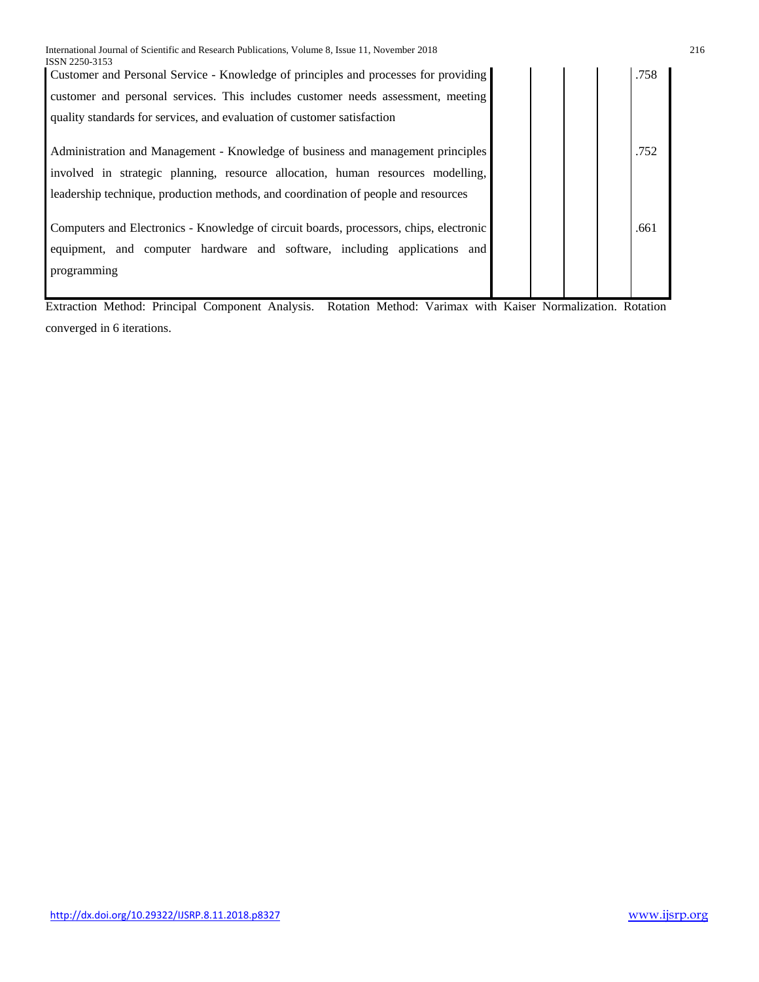| ISSN 2250-3153                                                                         |  |      |
|----------------------------------------------------------------------------------------|--|------|
| Customer and Personal Service - Knowledge of principles and processes for providing    |  | .758 |
| customer and personal services. This includes customer needs assessment, meeting       |  |      |
| quality standards for services, and evaluation of customer satisfaction                |  |      |
|                                                                                        |  |      |
| Administration and Management - Knowledge of business and management principles        |  | .752 |
| involved in strategic planning, resource allocation, human resources modelling,        |  |      |
| leadership technique, production methods, and coordination of people and resources     |  |      |
|                                                                                        |  |      |
| Computers and Electronics - Knowledge of circuit boards, processors, chips, electronic |  | .661 |
| equipment, and computer hardware and software, including applications and              |  |      |
| programming                                                                            |  |      |
|                                                                                        |  |      |

Extraction Method: Principal Component Analysis. Rotation Method: Varimax with Kaiser Normalization. Rotation converged in 6 iterations.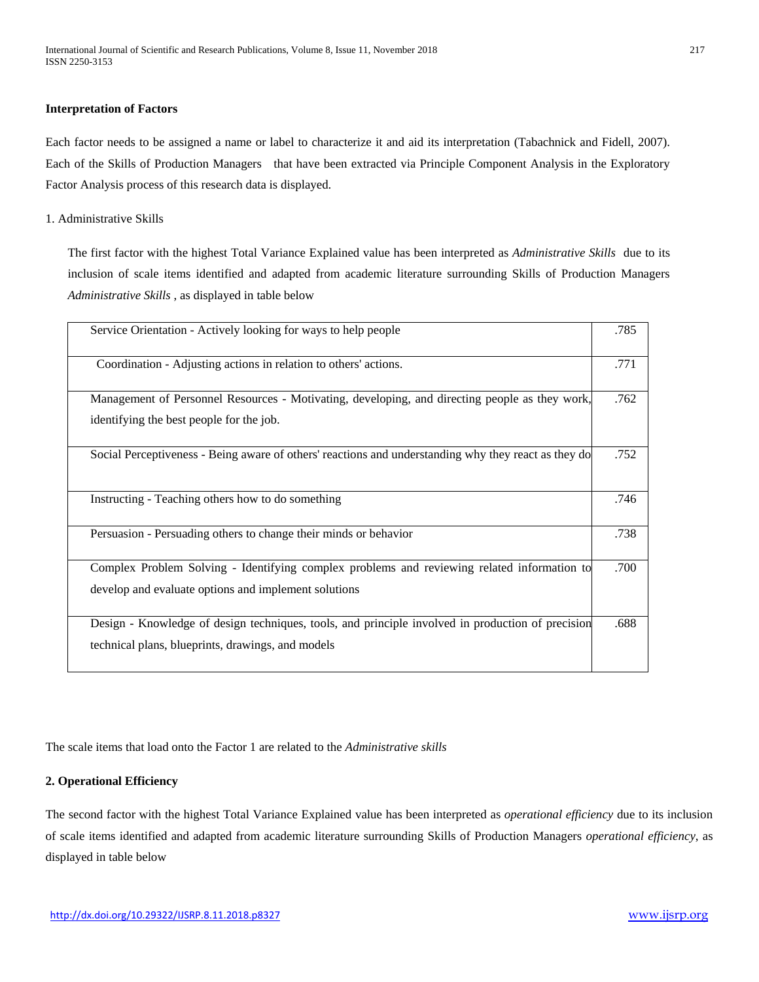#### **Interpretation of Factors**

Each factor needs to be assigned a name or label to characterize it and aid its interpretation (Tabachnick and Fidell, 2007). Each of the Skills of Production Managers that have been extracted via Principle Component Analysis in the Exploratory Factor Analysis process of this research data is displayed.

#### 1. Administrative Skills

The first factor with the highest Total Variance Explained value has been interpreted as *Administrative Skills* due to its inclusion of scale items identified and adapted from academic literature surrounding Skills of Production Managers *Administrative Skills* , as displayed in table below

| Service Orientation - Actively looking for ways to help people                                                                                         | .785 |
|--------------------------------------------------------------------------------------------------------------------------------------------------------|------|
| Coordination - Adjusting actions in relation to others' actions.                                                                                       | .771 |
| Management of Personnel Resources - Motivating, developing, and directing people as they work,<br>identifying the best people for the job.             | .762 |
| Social Perceptiveness - Being aware of others' reactions and understanding why they react as they do                                                   | .752 |
| Instructing - Teaching others how to do something                                                                                                      | .746 |
| Persuasion - Persuading others to change their minds or behavior                                                                                       | .738 |
| Complex Problem Solving - Identifying complex problems and reviewing related information to<br>develop and evaluate options and implement solutions    | .700 |
| Design - Knowledge of design techniques, tools, and principle involved in production of precision<br>technical plans, blueprints, drawings, and models | .688 |

The scale items that load onto the Factor 1 are related to the *Administrative skills*

## **2. Operational Efficiency**

The second factor with the highest Total Variance Explained value has been interpreted as *operational efficiency* due to its inclusion of scale items identified and adapted from academic literature surrounding Skills of Production Managers *operational efficiency*, as displayed in table below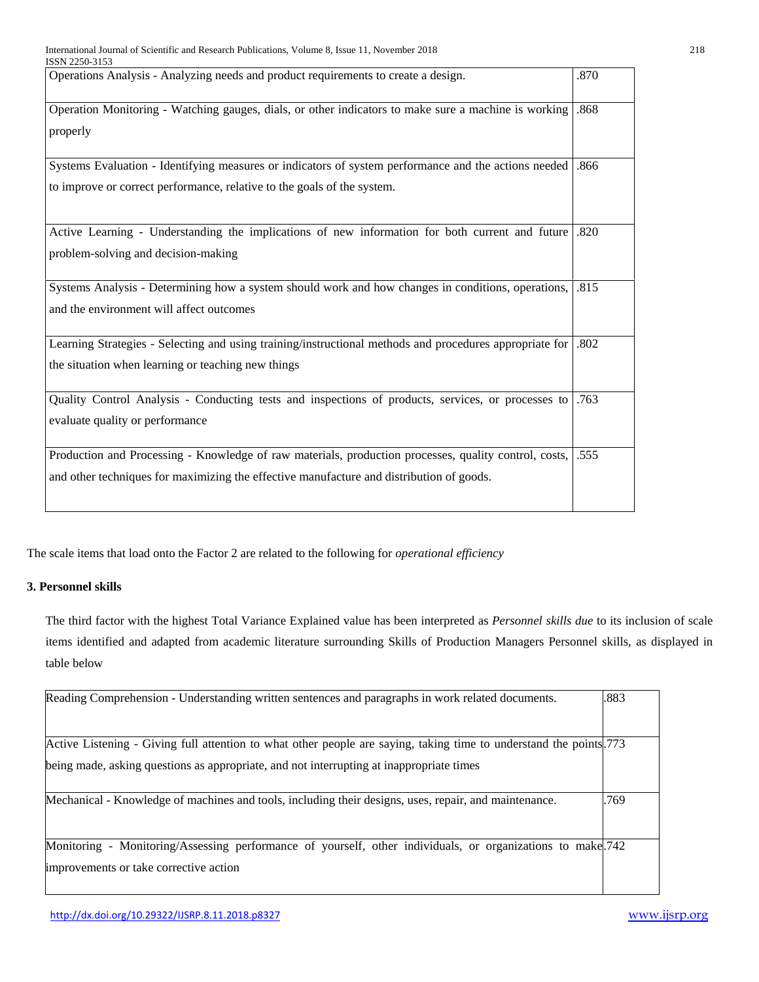| 15511 2230-3133                                                                                         |      |
|---------------------------------------------------------------------------------------------------------|------|
| Operations Analysis - Analyzing needs and product requirements to create a design.                      | .870 |
| Operation Monitoring - Watching gauges, dials, or other indicators to make sure a machine is working    | .868 |
|                                                                                                         |      |
| properly                                                                                                |      |
| Systems Evaluation - Identifying measures or indicators of system performance and the actions needed    | .866 |
| to improve or correct performance, relative to the goals of the system.                                 |      |
|                                                                                                         |      |
| Active Learning - Understanding the implications of new information for both current and future         | .820 |
| problem-solving and decision-making                                                                     |      |
|                                                                                                         |      |
| Systems Analysis - Determining how a system should work and how changes in conditions, operations,      | .815 |
| and the environment will affect outcomes                                                                |      |
|                                                                                                         |      |
| Learning Strategies - Selecting and using training/instructional methods and procedures appropriate for | .802 |
| the situation when learning or teaching new things                                                      |      |
|                                                                                                         |      |
| Quality Control Analysis - Conducting tests and inspections of products, services, or processes to      | .763 |
| evaluate quality or performance                                                                         |      |
|                                                                                                         |      |
| Production and Processing - Knowledge of raw materials, production processes, quality control, costs,   | .555 |
| and other techniques for maximizing the effective manufacture and distribution of goods.                |      |
|                                                                                                         |      |
|                                                                                                         |      |

The scale items that load onto the Factor 2 are related to the following for *operational efficiency*

## **3. Personnel skills**

The third factor with the highest Total Variance Explained value has been interpreted as *Personnel skills due* to its inclusion of scale items identified and adapted from academic literature surrounding Skills of Production Managers Personnel skills, as displayed in table below

| Reading Comprehension - Understanding written sentences and paragraphs in work related documents.                   | .883 |
|---------------------------------------------------------------------------------------------------------------------|------|
| Active Listening - Giving full attention to what other people are saying, taking time to understand the points. 773 |      |
| being made, asking questions as appropriate, and not interrupting at inappropriate times                            |      |
| Mechanical - Knowledge of machines and tools, including their designs, uses, repair, and maintenance.               | .769 |
| Monitoring - Monitoring/Assessing performance of yourself, other individuals, or organizations to make 742          |      |
| improvements or take corrective action                                                                              |      |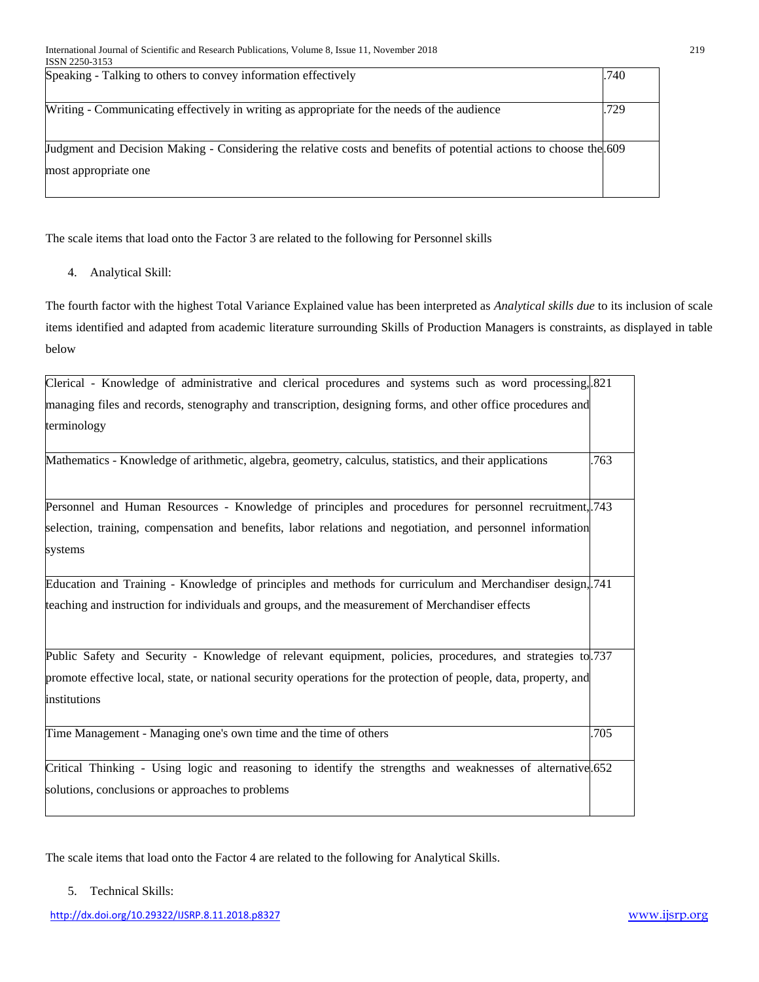| $1.3.313 \pm 2.717$                                                                                               |      |
|-------------------------------------------------------------------------------------------------------------------|------|
| Speaking - Talking to others to convey information effectively                                                    | .740 |
|                                                                                                                   |      |
| Writing - Communicating effectively in writing as appropriate for the needs of the audience                       | .729 |
|                                                                                                                   |      |
|                                                                                                                   |      |
| Judgment and Decision Making - Considering the relative costs and benefits of potential actions to choose the 609 |      |
| most appropriate one                                                                                              |      |
|                                                                                                                   |      |
|                                                                                                                   |      |

The scale items that load onto the Factor 3 are related to the following for Personnel skills

4. Analytical Skill:

The fourth factor with the highest Total Variance Explained value has been interpreted as *Analytical skills due* to its inclusion of scale items identified and adapted from academic literature surrounding Skills of Production Managers is constraints, as displayed in table below

| Clerical - Knowledge of administrative and clerical procedures and systems such as word processing, 821                           |      |
|-----------------------------------------------------------------------------------------------------------------------------------|------|
| managing files and records, stenography and transcription, designing forms, and other office procedures and                       |      |
| terminology                                                                                                                       |      |
| Mathematics - Knowledge of arithmetic, algebra, geometry, calculus, statistics, and their applications                            | .763 |
| Personnel and Human Resources - Knowledge of principles and procedures for personnel recruitment, 743                             |      |
| selection, training, compensation and benefits, labor relations and negotiation, and personnel information                        |      |
| systems                                                                                                                           |      |
| Education and Training - Knowledge of principles and methods for curriculum and Merchandiser design, 741                          |      |
| teaching and instruction for individuals and groups, and the measurement of Merchandiser effects                                  |      |
| Public Safety and Security - Knowledge of relevant equipment, policies, procedures, and strategies to 737                         |      |
| promote effective local, state, or national security operations for the protection of people, data, property, and<br>institutions |      |
| Time Management - Managing one's own time and the time of others                                                                  | .705 |
| Critical Thinking - Using logic and reasoning to identify the strengths and weaknesses of alternative 652                         |      |
| solutions, conclusions or approaches to problems                                                                                  |      |

The scale items that load onto the Factor 4 are related to the following for Analytical Skills.

5. Technical Skills: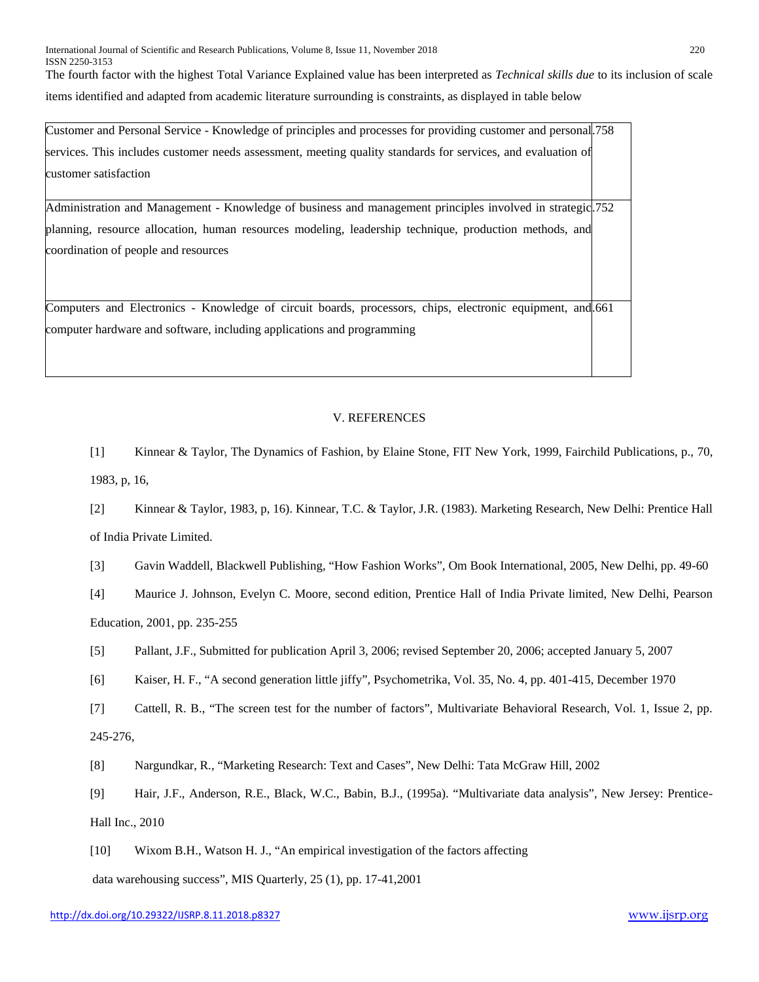The fourth factor with the highest Total Variance Explained value has been interpreted as *Technical skills due* to its inclusion of scale items identified and adapted from academic literature surrounding is constraints, as displayed in table below

| Customer and Personal Service - Knowledge of principles and processes for providing customer and personal 758 |  |
|---------------------------------------------------------------------------------------------------------------|--|
| services. This includes customer needs assessment, meeting quality standards for services, and evaluation of  |  |
| customer satisfaction                                                                                         |  |
| Administration and Management - Knowledge of business and management principles involved in strategic. 752    |  |
| planning, resource allocation, human resources modeling, leadership technique, production methods, and        |  |
| coordination of people and resources                                                                          |  |
|                                                                                                               |  |
| Computers and Electronics - Knowledge of circuit boards, processors, chips, electronic equipment, and 661     |  |
| computer hardware and software, including applications and programming                                        |  |
|                                                                                                               |  |
|                                                                                                               |  |

#### V. REFERENCES

[1] Kinnear & Taylor, The Dynamics of Fashion, by Elaine Stone, FIT New York, 1999, Fairchild Publications, p., 70, 1983, p, 16,

[2] Kinnear & Taylor, 1983, p, 16). Kinnear, T.C. & Taylor, J.R. (1983). Marketing Research, New Delhi: Prentice Hall of India Private Limited.

[3] Gavin Waddell, Blackwell Publishing, "How Fashion Works", Om Book International, 2005, New Delhi, pp. 49-60

[4] Maurice J. Johnson, Evelyn C. Moore, second edition, Prentice Hall of India Private limited, New Delhi, Pearson Education, 2001, pp. 235-255

[5] Pallant, J.F., Submitted for publication April 3, 2006; revised September 20, 2006; accepted January 5, 2007

[6] Kaiser, H. F., "A second generation little jiffy", Psychometrika, Vol. 35, No. 4, pp. 401-415, December 1970

[7] Cattell, R. B., "The screen test for the number of factors", Multivariate Behavioral Research, Vol. 1, Issue 2, pp. 245-276,

[8] Nargundkar, R., "Marketing Research: Text and Cases", New Delhi: Tata McGraw Hill, 2002

[9] Hair, J.F., Anderson, R.E., Black, W.C., Babin, B.J., (1995a). "Multivariate data analysis", New Jersey: Prentice-Hall Inc., 2010

[10] Wixom B.H., Watson H. J., "An empirical investigation of the factors affecting data warehousing success", MIS Quarterly, 25 (1), pp. 17-41,2001